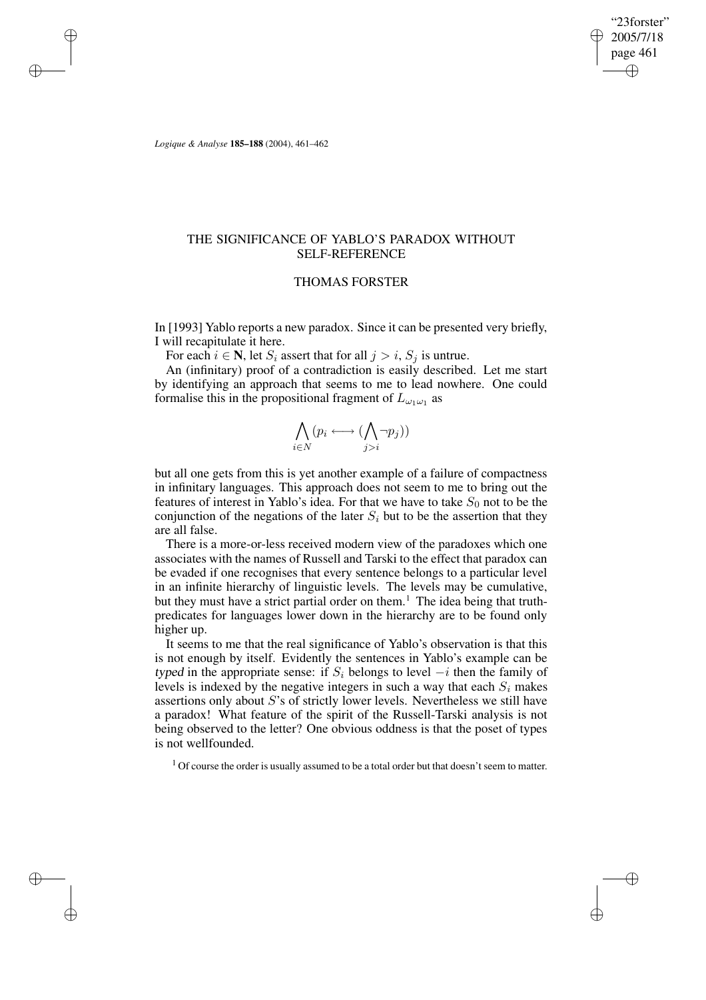"23forster" 2005/7/18 page 461 ✐ ✐

✐

✐

*Logique & Analyse* **185–188** (2004), 461–462

✐

✐

✐

✐

# THE SIGNIFICANCE OF YABLO'S PARADOX WITHOUT SELF-REFERENCE

## THOMAS FORSTER

In [1993] Yablo reports a new paradox. Since it can be presented very briefly, I will recapitulate it here.

For each  $i \in \mathbb{N}$ , let  $S_i$  assert that for all  $j > i$ ,  $S_j$  is untrue.

An (infinitary) proof of a contradiction is easily described. Let me start by identifying an approach that seems to me to lead nowhere. One could formalise this in the propositional fragment of  $L_{\omega_1\omega_1}$  as

$$
\bigwedge_{i\in N}(p_i \longleftrightarrow (\bigwedge_{j>i} \neg p_j))
$$

but all one gets from this is yet another example of a failure of compactness in infinitary languages. This approach does not seem to me to bring out the features of interest in Yablo's idea. For that we have to take  $S_0$  not to be the conjunction of the negations of the later  $S_i$  but to be the assertion that they are all false.

There is a more-or-less received modern view of the paradoxes which one associates with the names of Russell and Tarski to the effect that paradox can be evaded if one recognises that every sentence belongs to a particular level in an infinite hierarchy of linguistic levels. The levels may be cumulative, but they must have a strict partial order on them.<sup>1</sup> The idea being that truthpredicates for languages lower down in the hierarchy are to be found only higher up.

It seems to me that the real significance of Yablo's observation is that this is not enough by itself. Evidently the sentences in Yablo's example can be typed in the appropriate sense: if  $S_i$  belongs to level  $-i$  then the family of levels is indexed by the negative integers in such a way that each  $S_i$  makes assertions only about S's of strictly lower levels. Nevertheless we still have a paradox! What feature of the spirit of the Russell-Tarski analysis is not being observed to the letter? One obvious oddness is that the poset of types is not wellfounded.

 $1$  Of course the order is usually assumed to be a total order but that doesn't seem to matter.